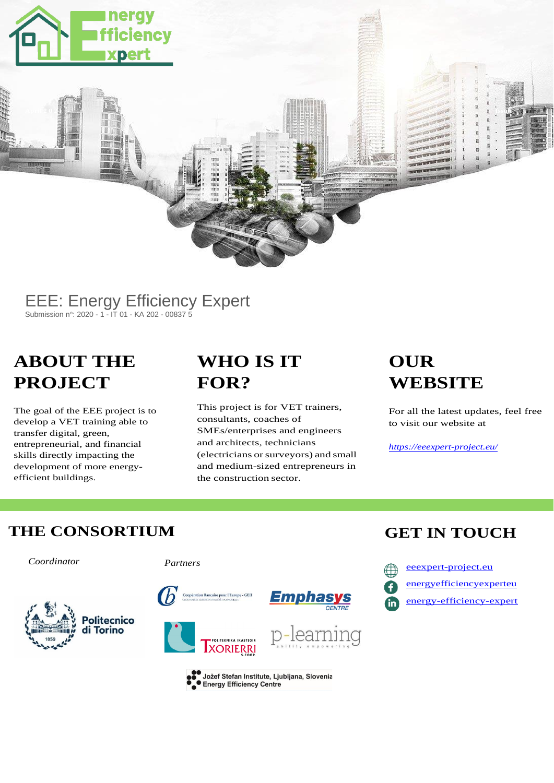

#### EEE: Energy Efficiency Expert Submission n°: 2020 - 1 - IT 01 - KA 202 - 00837 5

# **ABOUT THE PROJECT**

The goal of the EEE project is to develop a VET training able to transfer digital, green, entrepreneurial, and financial skills directly impacting the development of more energyefficient buildings.

## **WHO IS IT FOR?**

This project is for VET trainers, consultants, coaches of SMEs/enterprises and engineers and architects, technicians (electricians orsurveyors) and small and medium-sized entrepreneurs in the construction sector.

# **OUR WEBSITE**

For all the latest updates, feel free to visit our website at

*<https://eeexpert-project.eu/>*

#### **THE CONSORTIUM GET IN TOUCH**

*Coordinator Partners*









[energyefficiencyexperteu](https://www.facebook.com/energyefficiencyexperteu) in [energy-efficiency-expert](https://www.linkedin.com/company/energy-efficiency-expert/)







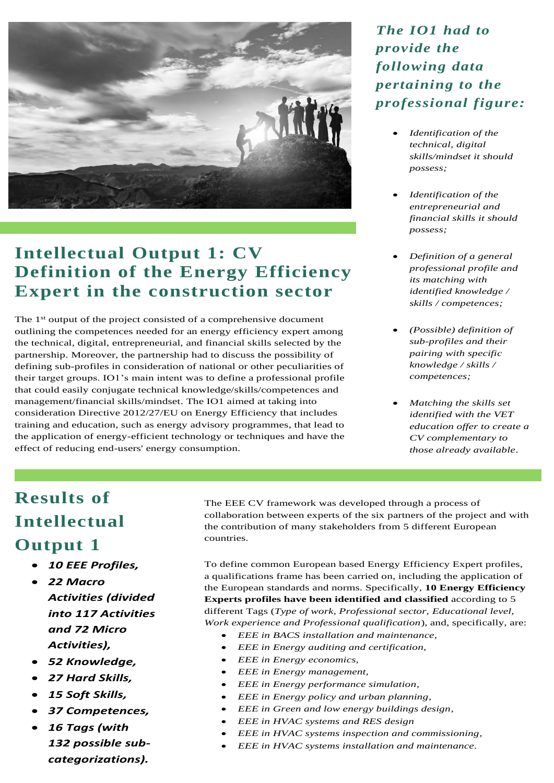

## **Intellectual Output 1: CV Definition of the Energy Efficiency Expert in the construction sector**

The 1<sup>st</sup> output of the project consisted of a comprehensive document outlining the competences needed for an energy efficiency expert among the technical, digital, entrepreneurial, and financial skills selected by the partnership. Moreover, the partnership had to discuss the possibility of defining sub-profiles in consideration of national or other peculiarities of their target groups. IO1's main intent was to define a professional profile that could easily conjugate technical knowledge/skills/competences and management/financial skills/mindset. The IO1 aimed at taking into consideration Directive 2012/27/EU on Energy Efficiency that includes training and education, such as energy advisory programmes, that lead to the application of energy-efficient technology or techniques and have the effect of reducing end-users' energy consumption.

*The IO1 had to provide the following data pertaining to the professional figure:*

- *Identification of the technical, digital skills/mindset it should possess;*
- *Identification of the entrepreneurial and financial skills it should possess;*
- *Definition of a general professional profile and its matching with identified knowledge / skills / competences;*
- *(Possible) definition of sub-profiles and their pairing with specific knowledge / skills / competences;*
- *Matching the skills set identified with the VET education offer to create a CV complementary to those already available*.

# **Results of Intellectual Output 1**

- *10 EEE Profiles,*
- *22 Macro Activities (divided into 117 Activities and 72 Micro Activities),*
- *52 Knowledge,*
- *27 Hard Skills,*
- *15 Soft Skills,*
- *37 Competences,*
- *16 Tags (with 132 possible subcategorizations).*

The EEE CV framework was developed through a process of collaboration between experts of the six partners of the project and with the contribution of many stakeholders from 5 different European countries.

To define common European based Energy Efficiency Expert profiles, a qualifications frame has been carried on, including the application of the European standards and norms. Specifically, **10 Energy Efficiency Experts profiles have been identified and classified** according to 5 different Tags (*Type of work, Professional sector, Educational level, Work experience and Professional qualification*), and, specifically, are:

- *EEE in BACS installation and maintenance,*
- *EEE in Energy auditing and certification,*
- *EEE in Energy economics,*
- *EEE in Energy management,*
- *EEE in Energy performance simulation,*
- *EEE in Energy policy and urban planning,*
- *EEE in Green and low energy buildings design,*
- *EEE in HVAC systems and RES design*
- *EEE in HVAC systems inspection and commissioning,*
- *EEE in HVAC systems installation and maintenance.*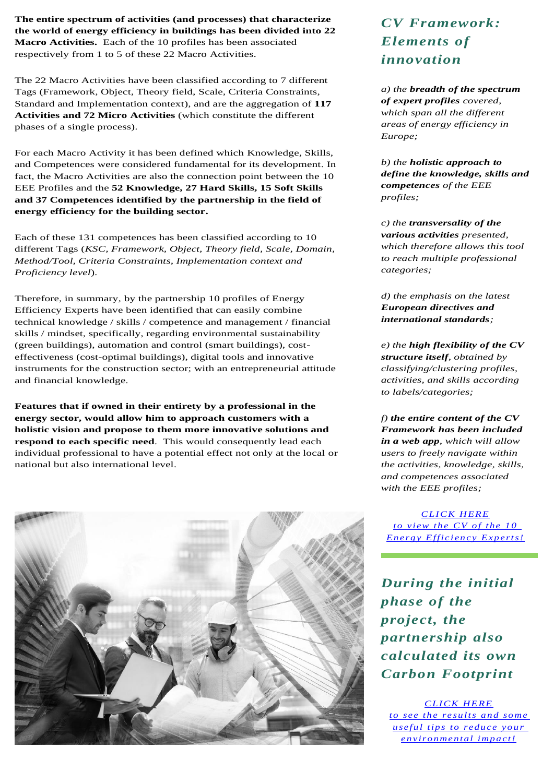**The entire spectrum of activities (and processes) that characterize the world of energy efficiency in buildings has been divided into 22 Macro Activities.** Each of the 10 profiles has been associated respectively from 1 to 5 of these 22 Macro Activities.

The 22 Macro Activities have been classified according to 7 different Tags (Framework, Object, Theory field, Scale, Criteria Constraints, Standard and Implementation context), and are the aggregation of **117 Activities and 72 Micro Activities** (which constitute the different phases of a single process).

For each Macro Activity it has been defined which Knowledge, Skills, and Competences were considered fundamental for its development. In fact, the Macro Activities are also the connection point between the 10 EEE Profiles and the **52 Knowledge, 27 Hard Skills, 15 Soft Skills and 37 Competences identified by the partnership in the field of energy efficiency for the building sector.**

Each of these 131 competences has been classified according to 10 different Tags (*KSC, Framework, Object, Theory field, Scale, Domain, Method/Tool, Criteria Constraints, Implementation context and Proficiency level*).

Therefore, in summary, by the partnership 10 profiles of Energy Efficiency Experts have been identified that can easily combine technical knowledge / skills / competence and management / financial skills / mindset, specifically, regarding environmental sustainability (green buildings), automation and control (smart buildings), costeffectiveness (cost-optimal buildings), digital tools and innovative instruments for the construction sector; with an entrepreneurial attitude and financial knowledge.

**Features that if owned in their entirety by a professional in the energy sector, would allow him to approach customers with a holistic vision and propose to them more innovative solutions and respond to each specific need**. This would consequently lead each individual professional to have a potential effect not only at the local or national but also international level.



#### *CV Framework: Elements of innovation*

*a) the breadth of the spectrum of expert profiles covered, which span all the different areas of energy efficiency in Europe;*

*b) the holistic approach to define the knowledge, skills and competences of the EEE profiles;*

*c) the transversality of the various activities presented, which therefore allows this tool to reach multiple professional categories;*

*d) the emphasis on the latest European directives and international standards;*

*e) the high flexibility of the CV structure itself, obtained by classifying/clustering profiles, activities, and skills according to labels/categories;*

*f) the entire content of the CV Framework has been included in a web app, which will allow users to freely navigate within the activities, knowledge, skills, and competences associated with the EEE profiles;*

*[CLICK HERE](mailto:http://cv-definition.eeexpert-project.eu/profile) [to view the CV of the 10](mailto:http://cv-definition.eeexpert-project.eu/profile)  Energy Efficiency Experts!* 

*During the initial phase of the project, the partnership also calculated its own Carbon Footprint*

*[CLICK HERE](mailto:https://eeexpert-project.eu/intellectual-output-1/) [to see the results and some](mailto:https://eeexpert-project.eu/intellectual-output-1/)  [useful tips to reduce your](mailto:https://eeexpert-project.eu/intellectual-output-1/)  [environmental impact!](mailto:https://eeexpert-project.eu/intellectual-output-1/)*